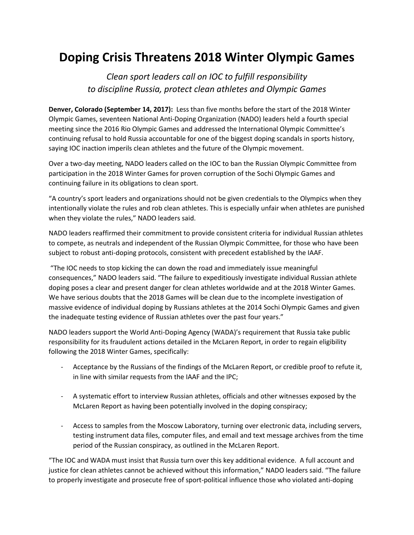## **Doping Crisis Threatens 2018 Winter Olympic Games**

*Clean sport leaders call on IOC to fulfill responsibility to discipline Russia, protect clean athletes and Olympic Games*

**Denver, Colorado (September 14, 2017):** Less than five months before the start of the 2018 Winter Olympic Games, seventeen National Anti-Doping Organization (NADO) leaders held a fourth special meeting since the 2016 Rio Olympic Games and addressed the International Olympic Committee's continuing refusal to hold Russia accountable for one of the biggest doping scandals in sports history, saying IOC inaction imperils clean athletes and the future of the Olympic movement.

Over a two-day meeting, NADO leaders called on the IOC to ban the Russian Olympic Committee from participation in the 2018 Winter Games for proven corruption of the Sochi Olympic Games and continuing failure in its obligations to clean sport.

"A country's sport leaders and organizations should not be given credentials to the Olympics when they intentionally violate the rules and rob clean athletes. This is especially unfair when athletes are punished when they violate the rules," NADO leaders said.

NADO leaders reaffirmed their commitment to provide consistent criteria for individual Russian athletes to compete, as neutrals and independent of the Russian Olympic Committee, for those who have been subject to robust anti-doping protocols, consistent with precedent established by the IAAF.

"The IOC needs to stop kicking the can down the road and immediately issue meaningful consequences," NADO leaders said. "The failure to expeditiously investigate individual Russian athlete doping poses a clear and present danger for clean athletes worldwide and at the 2018 Winter Games. We have serious doubts that the 2018 Games will be clean due to the incomplete investigation of massive evidence of individual doping by Russians athletes at the 2014 Sochi Olympic Games and given the inadequate testing evidence of Russian athletes over the past four years."

NADO leaders support the World Anti-Doping Agency (WADA)'s requirement that Russia take public responsibility for its fraudulent actions detailed in the McLaren Report, in order to regain eligibility following the 2018 Winter Games, specifically:

- Acceptance by the Russians of the findings of the McLaren Report, or credible proof to refute it, in line with similar requests from the IAAF and the IPC;
- A systematic effort to interview Russian athletes, officials and other witnesses exposed by the McLaren Report as having been potentially involved in the doping conspiracy;
- Access to samples from the Moscow Laboratory, turning over electronic data, including servers, testing instrument data files, computer files, and email and text message archives from the time period of the Russian conspiracy, as outlined in the McLaren Report.

"The IOC and WADA must insist that Russia turn over this key additional evidence. A full account and justice for clean athletes cannot be achieved without this information," NADO leaders said. "The failure to properly investigate and prosecute free of sport-political influence those who violated anti-doping